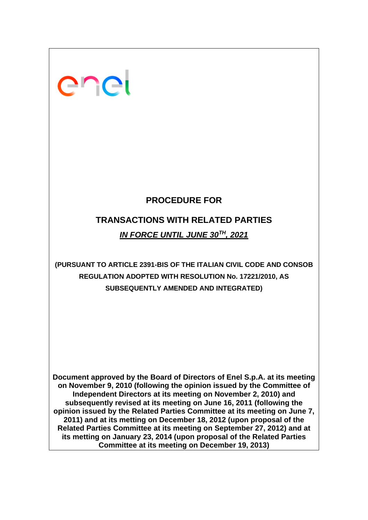# enei

# **PROCEDURE FOR**

# **TRANSACTIONS WITH RELATED PARTIES** *IN FORCE UNTIL JUNE 30TH, 2021*

# **(PURSUANT TO ARTICLE 2391-BIS OF THE ITALIAN CIVIL CODE AND CONSOB REGULATION ADOPTED WITH RESOLUTION No. 17221/2010, AS SUBSEQUENTLY AMENDED AND INTEGRATED)**

**Document approved by the Board of Directors of Enel S.p.A. at its meeting on November 9, 2010 (following the opinion issued by the Committee of Independent Directors at its meeting on November 2, 2010) and subsequently revised at its meeting on June 16, 2011 (following the opinion issued by the Related Parties Committee at its meeting on June 7, 2011) and at its metting on December 18, 2012 (upon proposal of the Related Parties Committee at its meeting on September 27, 2012) and at its metting on January 23, 2014 (upon proposal of the Related Parties Committee at its meeting on December 19, 2013)**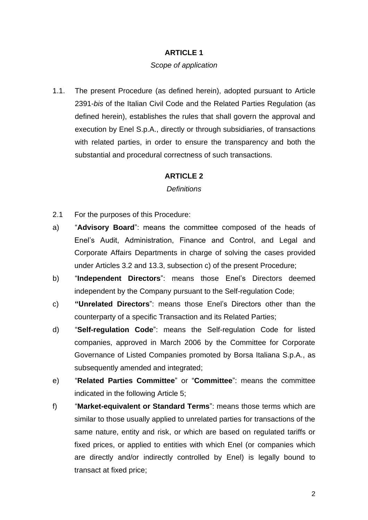#### *Scope of application*

1.1. The present Procedure (as defined herein), adopted pursuant to Article 2391-*bis* of the Italian Civil Code and the Related Parties Regulation (as defined herein), establishes the rules that shall govern the approval and execution by Enel S.p.A., directly or through subsidiaries, of transactions with related parties, in order to ensure the transparency and both the substantial and procedural correctness of such transactions.

#### **ARTICLE 2**

#### *Definitions*

- 2.1 For the purposes of this Procedure:
- a) "**Advisory Board**": means the committee composed of the heads of Enel's Audit, Administration, Finance and Control, and Legal and Corporate Affairs Departments in charge of solving the cases provided under Articles 3.2 and 13.3, subsection c) of the present Procedure;
- b) "**Independent Directors**": means those Enel's Directors deemed independent by the Company pursuant to the Self-regulation Code;
- c) **"Unrelated Directors**": means those Enel's Directors other than the counterparty of a specific Transaction and its Related Parties;
- d) "**Self-regulation Code**": means the Self-regulation Code for listed companies, approved in March 2006 by the Committee for Corporate Governance of Listed Companies promoted by Borsa Italiana S.p.A., as subsequently amended and integrated;
- e) "**Related Parties Committee**" or "**Committee**": means the committee indicated in the following Article 5;
- f) "**Market-equivalent or Standard Terms**": means those terms which are similar to those usually applied to unrelated parties for transactions of the same nature, entity and risk, or which are based on regulated tariffs or fixed prices, or applied to entities with which Enel (or companies which are directly and/or indirectly controlled by Enel) is legally bound to transact at fixed price;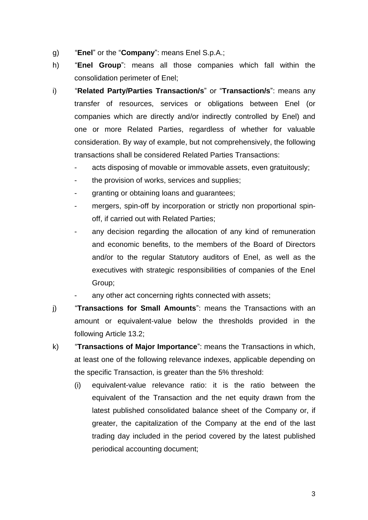- g) "**Enel**" or the "**Company**": means Enel S.p.A.;
- h) "**Enel Group**": means all those companies which fall within the consolidation perimeter of Enel;
- i) "**Related Party/Parties Transaction/s**" or "**Transaction/s**": means any transfer of resources, services or obligations between Enel (or companies which are directly and/or indirectly controlled by Enel) and one or more Related Parties, regardless of whether for valuable consideration. By way of example, but not comprehensively, the following transactions shall be considered Related Parties Transactions:
	- acts disposing of movable or immovable assets, even gratuitously;
	- the provision of works, services and supplies;
	- granting or obtaining loans and guarantees;
	- mergers, spin-off by incorporation or strictly non proportional spinoff, if carried out with Related Parties;
	- any decision regarding the allocation of any kind of remuneration and economic benefits, to the members of the Board of Directors and/or to the regular Statutory auditors of Enel, as well as the executives with strategic responsibilities of companies of the Enel Group;
	- any other act concerning rights connected with assets;
- j) "**Transactions for Small Amounts**": means the Transactions with an amount or equivalent-value below the thresholds provided in the following Article 13.2;
- k) "**Transactions of Major Importance**": means the Transactions in which, at least one of the following relevance indexes, applicable depending on the specific Transaction, is greater than the 5% threshold:
	- (i) equivalent-value relevance ratio: it is the ratio between the equivalent of the Transaction and the net equity drawn from the latest published consolidated balance sheet of the Company or, if greater, the capitalization of the Company at the end of the last trading day included in the period covered by the latest published periodical accounting document;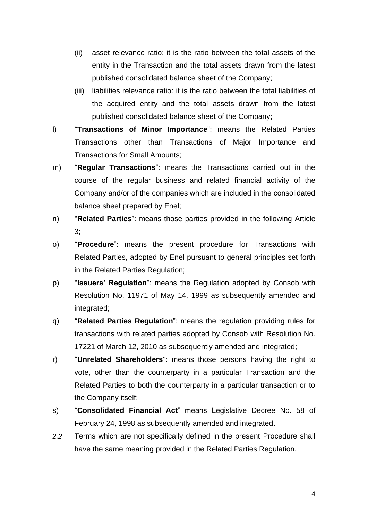- (ii) asset relevance ratio: it is the ratio between the total assets of the entity in the Transaction and the total assets drawn from the latest published consolidated balance sheet of the Company;
- (iii) liabilities relevance ratio: it is the ratio between the total liabilities of the acquired entity and the total assets drawn from the latest published consolidated balance sheet of the Company;
- l) "**Transactions of Minor Importance**": means the Related Parties Transactions other than Transactions of Major Importance and Transactions for Small Amounts;
- m) "**Regular Transactions**": means the Transactions carried out in the course of the regular business and related financial activity of the Company and/or of the companies which are included in the consolidated balance sheet prepared by Enel;
- n) "**Related Parties**": means those parties provided in the following Article 3;
- o) "**Procedure**": means the present procedure for Transactions with Related Parties, adopted by Enel pursuant to general principles set forth in the Related Parties Regulation;
- p) "**Issuers' Regulation**": means the Regulation adopted by Consob with Resolution No. 11971 of May 14, 1999 as subsequently amended and integrated;
- q) "**Related Parties Regulation**": means the regulation providing rules for transactions with related parties adopted by Consob with Resolution No. 17221 of March 12, 2010 as subsequently amended and integrated;
- r) "**Unrelated Shareholders**": means those persons having the right to vote, other than the counterparty in a particular Transaction and the Related Parties to both the counterparty in a particular transaction or to the Company itself;
- s) "**Consolidated Financial Act**" means Legislative Decree No. 58 of February 24, 1998 as subsequently amended and integrated.
- *2.2* Terms which are not specifically defined in the present Procedure shall have the same meaning provided in the Related Parties Regulation.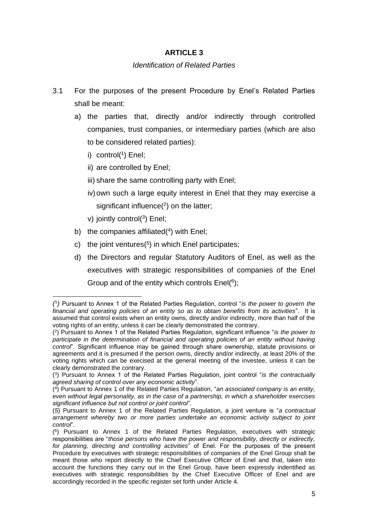#### *Identification of Related Parties*

- 3.1 For the purposes of the present Procedure by Enel's Related Parties shall be meant:
	- a) the parties that, directly and/or indirectly through controlled companies, trust companies, or intermediary parties (which are also to be considered related parties):
		- i) control(<sup>1</sup>) Enel;
		- ii) are controlled by Enel;
		- iii) share the same controlling party with Enel:
		- iv)own such a large equity interest in Enel that they may exercise a significant influence(<sup>2</sup>) on the latter;
		- v) jointly control(<sup>3</sup>) Enel;
	- b) the companies affiliated $(4)$  with Enel;
	- c) the joint ventures( *5* ) in which Enel participates;
	- d) the Directors and regular Statutory Auditors of Enel, as well as the executives with strategic responsibilities of companies of the Enel Group and of the entity which controls  $Enel(^6)$ ;

*<sup>(</sup>* 1 *)* Pursuant to Annex 1 of the Related Parties Regulation, control "*is the power to govern the financial and operating policies of an entity so as to obtain benefits from its activities*". It is assumed that control exists when an entity owns, directly and/or indirectly, more than half of the voting rights of an entity, unless it can be clearly demonstrated the contrary.

<sup>(</sup> 2 ) Pursuant to Annex 1 of the Related Parties Regulation, significant influence "*is the power to participate in the determination of financial and operating policies of an entity without having control*". Significant influence may be gained through share ownership, statute provisions or agreements and it is presumed if the person owns, directly and/or indirectly, at least 20% of the voting rights which can be execised at the general meeting of the investee, unless it can be clearly demonstrated the contrary.

<sup>(</sup> 3 ) Pursuant to Annex 1 of the Related Parties Regulation, joint control "*is the contractually agreed sharing of control over any economic activity*".

<sup>(</sup> 4 ) Pursuant to Annex 1 of the Related Parties Regulation, "*an associated company is an entity, even without legal personality, as in the case of a partnership, in which a shareholder exercises significant influence but not control or joint control".* 

<sup>(</sup>*5*) Pursuant to Annex 1 of the Related Parties Regulation, a joint venture is "*a contractual arrangement whereby two or more parties undertake an economic activity subject to joint control*".

<sup>(</sup> 6 ) Pursuant to Annex 1 of the Related Parties Regulation, executives with strategic responsibilities are "*those persons who have the power and responsibility, directly or indirectly, for planning, directing and controlling activities*" of Enel. For the purposes of the present Procedure by executives with strategic responsibilities of companies of the Enel Group shall be meant those who report directly to the Chief Executive Officer of Enel and that, taken into account the functions they carry out in the Enel Group, have been expressly indentified as executives with strategic responsibilities by the Chief Executive Officer of Enel and are accordingly recorded in the specific register set forth under Article 4.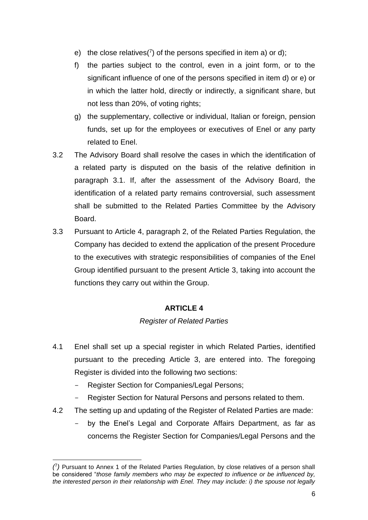- e) the close relatives( $\binom{7}{1}$  of the persons specified in item a) or d);
- f) the parties subject to the control, even in a joint form, or to the significant influence of one of the persons specified in item d) or e) or in which the latter hold, directly or indirectly, a significant share, but not less than 20%, of voting rights;
- g) the supplementary, collective or individual, Italian or foreign, pension funds, set up for the employees or executives of Enel or any party related to Enel.
- 3.2 The Advisory Board shall resolve the cases in which the identification of a related party is disputed on the basis of the relative definition in paragraph 3.1. If, after the assessment of the Advisory Board, the identification of a related party remains controversial, such assessment shall be submitted to the Related Parties Committee by the Advisory Board.
- 3.3 Pursuant to Article 4, paragraph 2, of the Related Parties Regulation, the Company has decided to extend the application of the present Procedure to the executives with strategic responsibilities of companies of the Enel Group identified pursuant to the present Article 3, taking into account the functions they carry out within the Group.

## *Register of Related Parties*

- 4.1 Enel shall set up a special register in which Related Parties, identified pursuant to the preceding Article 3, are entered into. The foregoing Register is divided into the following two sections:
	- Register Section for Companies/Legal Persons;
	- Register Section for Natural Persons and persons related to them.
- 4.2 The setting up and updating of the Register of Related Parties are made:
	- by the Enel's Legal and Corporate Affairs Department, as far as concerns the Register Section for Companies/Legal Persons and the

*<sup>(</sup>* 7 *)* Pursuant to Annex 1 of the Related Parties Regulation, by close relatives of a person shall be considered "*those family members who may be expected to influence or be influenced by, the interested person in their relationship with Enel. They may include: i) the spouse not legally*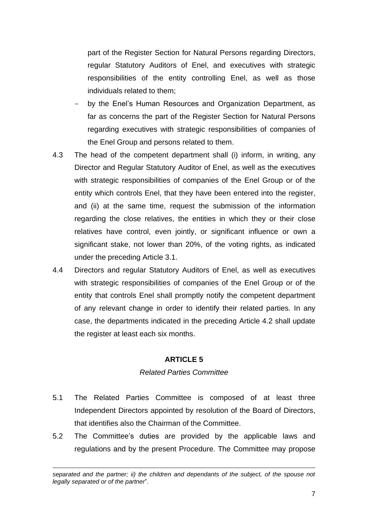part of the Register Section for Natural Persons regarding Directors, regular Statutory Auditors of Enel, and executives with strategic responsibilities of the entity controlling Enel, as well as those individuals related to them;

- by the Enel's Human Resources and Organization Department, as far as concerns the part of the Register Section for Natural Persons regarding executives with strategic responsibilities of companies of the Enel Group and persons related to them.
- 4.3 The head of the competent department shall (i) inform, in writing, any Director and Regular Statutory Auditor of Enel, as well as the executives with strategic responsibilities of companies of the Enel Group or of the entity which controls Enel, that they have been entered into the register, and (ii) at the same time, request the submission of the information regarding the close relatives, the entities in which they or their close relatives have control, even jointly, or significant influence or own a significant stake, not lower than 20%, of the voting rights, as indicated under the preceding Article 3.1.
- 4.4 Directors and regular Statutory Auditors of Enel, as well as executives with strategic responsibilities of companies of the Enel Group or of the entity that controls Enel shall promptly notify the competent department of any relevant change in order to identify their related parties. In any case, the departments indicated in the preceding Article 4.2 shall update the register at least each six months.

## **ARTICLE 5**

#### *Related Parties Committee*

- 5.1 The Related Parties Committee is composed of at least three Independent Directors appointed by resolution of the Board of Directors, that identifies also the Chairman of the Committee.
- 5.2 The Committee's duties are provided by the applicable laws and regulations and by the present Procedure. The Committee may propose

*separated and the partner; ii) the children and dependants of the subject, of the spouse not legally separated or of the partner*".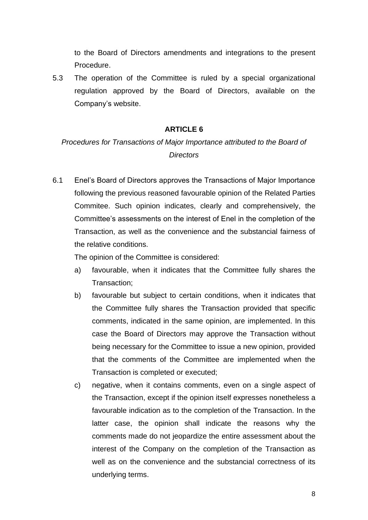to the Board of Directors amendments and integrations to the present Procedure.

5.3 The operation of the Committee is ruled by a special organizational regulation approved by the Board of Directors, available on the Company's website.

### **ARTICLE 6**

# *Procedures for Transactions of Major Importance attributed to the Board of Directors*

6.1 Enel's Board of Directors approves the Transactions of Major Importance following the previous reasoned favourable opinion of the Related Parties Commitee. Such opinion indicates, clearly and comprehensively, the Committee's assessments on the interest of Enel in the completion of the Transaction, as well as the convenience and the substancial fairness of the relative conditions.

The opinion of the Committee is considered:

- a) favourable, when it indicates that the Committee fully shares the Transaction;
- b) favourable but subject to certain conditions, when it indicates that the Committee fully shares the Transaction provided that specific comments, indicated in the same opinion, are implemented. In this case the Board of Directors may approve the Transaction without being necessary for the Committee to issue a new opinion, provided that the comments of the Committee are implemented when the Transaction is completed or executed;
- c) negative, when it contains comments, even on a single aspect of the Transaction, except if the opinion itself expresses nonetheless a favourable indication as to the completion of the Transaction. In the latter case, the opinion shall indicate the reasons why the comments made do not jeopardize the entire assessment about the interest of the Company on the completion of the Transaction as well as on the convenience and the substancial correctness of its underlying terms.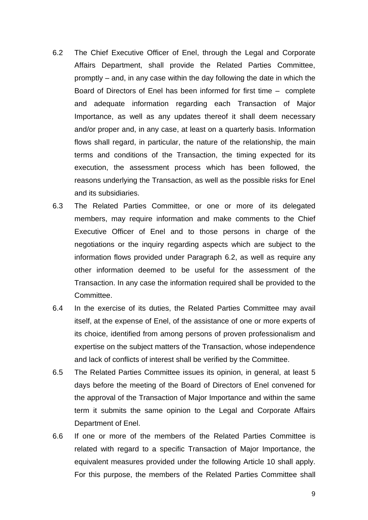- 6.2 The Chief Executive Officer of Enel, through the Legal and Corporate Affairs Department, shall provide the Related Parties Committee, promptly – and, in any case within the day following the date in which the Board of Directors of Enel has been informed for first time – complete and adequate information regarding each Transaction of Major Importance, as well as any updates thereof it shall deem necessary and/or proper and, in any case, at least on a quarterly basis. Information flows shall regard, in particular, the nature of the relationship, the main terms and conditions of the Transaction, the timing expected for its execution, the assessment process which has been followed, the reasons underlying the Transaction, as well as the possible risks for Enel and its subsidiaries.
- 6.3 The Related Parties Committee, or one or more of its delegated members, may require information and make comments to the Chief Executive Officer of Enel and to those persons in charge of the negotiations or the inquiry regarding aspects which are subject to the information flows provided under Paragraph 6.2, as well as require any other information deemed to be useful for the assessment of the Transaction. In any case the information required shall be provided to the Committee.
- 6.4 In the exercise of its duties, the Related Parties Committee may avail itself, at the expense of Enel, of the assistance of one or more experts of its choice, identified from among persons of proven professionalism and expertise on the subject matters of the Transaction, whose independence and lack of conflicts of interest shall be verified by the Committee.
- 6.5 The Related Parties Committee issues its opinion, in general, at least 5 days before the meeting of the Board of Directors of Enel convened for the approval of the Transaction of Major Importance and within the same term it submits the same opinion to the Legal and Corporate Affairs Department of Enel.
- 6.6 If one or more of the members of the Related Parties Committee is related with regard to a specific Transaction of Major Importance, the equivalent measures provided under the following Article 10 shall apply. For this purpose, the members of the Related Parties Committee shall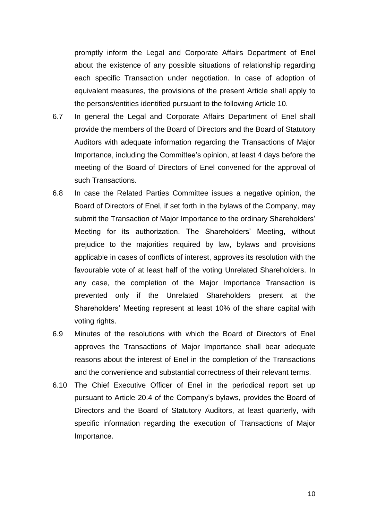promptly inform the Legal and Corporate Affairs Department of Enel about the existence of any possible situations of relationship regarding each specific Transaction under negotiation. In case of adoption of equivalent measures, the provisions of the present Article shall apply to the persons/entities identified pursuant to the following Article 10.

- 6.7 In general the Legal and Corporate Affairs Department of Enel shall provide the members of the Board of Directors and the Board of Statutory Auditors with adequate information regarding the Transactions of Major Importance, including the Committee's opinion, at least 4 days before the meeting of the Board of Directors of Enel convened for the approval of such Transactions.
- 6.8 In case the Related Parties Committee issues a negative opinion, the Board of Directors of Enel, if set forth in the bylaws of the Company, may submit the Transaction of Major Importance to the ordinary Shareholders' Meeting for its authorization. The Shareholders' Meeting, without prejudice to the majorities required by law, bylaws and provisions applicable in cases of conflicts of interest, approves its resolution with the favourable vote of at least half of the voting Unrelated Shareholders. In any case, the completion of the Major Importance Transaction is prevented only if the Unrelated Shareholders present at the Shareholders' Meeting represent at least 10% of the share capital with voting rights.
- 6.9 Minutes of the resolutions with which the Board of Directors of Enel approves the Transactions of Major Importance shall bear adequate reasons about the interest of Enel in the completion of the Transactions and the convenience and substantial correctness of their relevant terms.
- 6.10 The Chief Executive Officer of Enel in the periodical report set up pursuant to Article 20.4 of the Company's bylaws, provides the Board of Directors and the Board of Statutory Auditors, at least quarterly, with specific information regarding the execution of Transactions of Major Importance.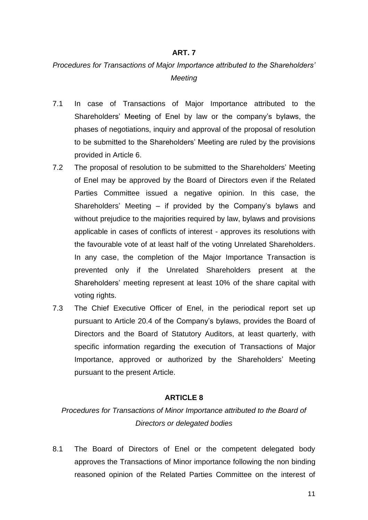#### **ART. 7**

# *Procedures for Transactions of Major Importance attributed to the Shareholders' Meeting*

- 7.1 In case of Transactions of Major Importance attributed to the Shareholders' Meeting of Enel by law or the company's bylaws, the phases of negotiations, inquiry and approval of the proposal of resolution to be submitted to the Shareholders' Meeting are ruled by the provisions provided in Article 6.
- 7.2 The proposal of resolution to be submitted to the Shareholders' Meeting of Enel may be approved by the Board of Directors even if the Related Parties Committee issued a negative opinion. In this case, the Shareholders' Meeting – if provided by the Company's bylaws and without prejudice to the majorities required by law, bylaws and provisions applicable in cases of conflicts of interest - approves its resolutions with the favourable vote of at least half of the voting Unrelated Shareholders. In any case, the completion of the Major Importance Transaction is prevented only if the Unrelated Shareholders present at the Shareholders' meeting represent at least 10% of the share capital with voting rights.
- 7.3 The Chief Executive Officer of Enel, in the periodical report set up pursuant to Article 20.4 of the Company's bylaws, provides the Board of Directors and the Board of Statutory Auditors, at least quarterly, with specific information regarding the execution of Transactions of Major Importance, approved or authorized by the Shareholders' Meeting pursuant to the present Article.

#### **ARTICLE 8**

*Procedures for Transactions of Minor Importance attributed to the Board of Directors or delegated bodies* 

8.1 The Board of Directors of Enel or the competent delegated body approves the Transactions of Minor importance following the non binding reasoned opinion of the Related Parties Committee on the interest of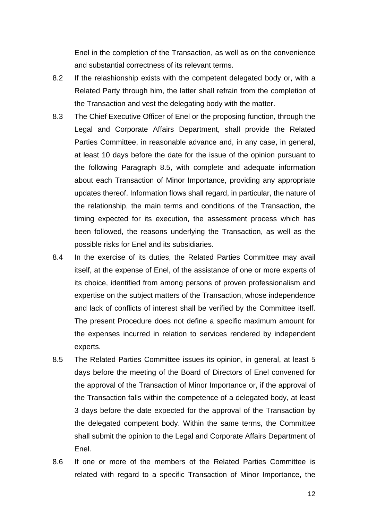Enel in the completion of the Transaction, as well as on the convenience and substantial correctness of its relevant terms.

- 8.2 If the relashionship exists with the competent delegated body or, with a Related Party through him, the latter shall refrain from the completion of the Transaction and vest the delegating body with the matter.
- 8.3 The Chief Executive Officer of Enel or the proposing function, through the Legal and Corporate Affairs Department, shall provide the Related Parties Committee, in reasonable advance and, in any case, in general, at least 10 days before the date for the issue of the opinion pursuant to the following Paragraph 8.5, with complete and adequate information about each Transaction of Minor Importance, providing any appropriate updates thereof. Information flows shall regard, in particular, the nature of the relationship, the main terms and conditions of the Transaction, the timing expected for its execution, the assessment process which has been followed, the reasons underlying the Transaction, as well as the possible risks for Enel and its subsidiaries.
- 8.4 In the exercise of its duties, the Related Parties Committee may avail itself, at the expense of Enel, of the assistance of one or more experts of its choice, identified from among persons of proven professionalism and expertise on the subject matters of the Transaction, whose independence and lack of conflicts of interest shall be verified by the Committee itself. The present Procedure does not define a specific maximum amount for the expenses incurred in relation to services rendered by independent experts.
- 8.5 The Related Parties Committee issues its opinion, in general, at least 5 days before the meeting of the Board of Directors of Enel convened for the approval of the Transaction of Minor Importance or, if the approval of the Transaction falls within the competence of a delegated body, at least 3 days before the date expected for the approval of the Transaction by the delegated competent body. Within the same terms, the Committee shall submit the opinion to the Legal and Corporate Affairs Department of Enel.
- 8.6 If one or more of the members of the Related Parties Committee is related with regard to a specific Transaction of Minor Importance, the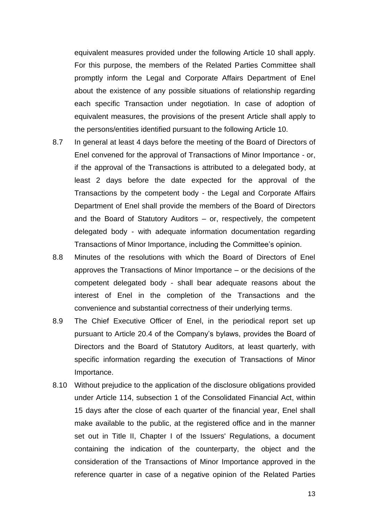equivalent measures provided under the following Article 10 shall apply. For this purpose, the members of the Related Parties Committee shall promptly inform the Legal and Corporate Affairs Department of Enel about the existence of any possible situations of relationship regarding each specific Transaction under negotiation. In case of adoption of equivalent measures, the provisions of the present Article shall apply to the persons/entities identified pursuant to the following Article 10.

- 8.7 In general at least 4 days before the meeting of the Board of Directors of Enel convened for the approval of Transactions of Minor Importance - or, if the approval of the Transactions is attributed to a delegated body, at least 2 days before the date expected for the approval of the Transactions by the competent body - the Legal and Corporate Affairs Department of Enel shall provide the members of the Board of Directors and the Board of Statutory Auditors – or, respectively, the competent delegated body - with adequate information documentation regarding Transactions of Minor Importance, including the Committee's opinion.
- 8.8 Minutes of the resolutions with which the Board of Directors of Enel approves the Transactions of Minor Importance – or the decisions of the competent delegated body - shall bear adequate reasons about the interest of Enel in the completion of the Transactions and the convenience and substantial correctness of their underlying terms.
- 8.9 The Chief Executive Officer of Enel, in the periodical report set up pursuant to Article 20.4 of the Company's bylaws, provides the Board of Directors and the Board of Statutory Auditors, at least quarterly, with specific information regarding the execution of Transactions of Minor Importance.
- 8.10 Without prejudice to the application of the disclosure obligations provided under Article 114, subsection 1 of the Consolidated Financial Act, within 15 days after the close of each quarter of the financial year, Enel shall make available to the public, at the registered office and in the manner set out in Title II, Chapter I of the Issuers' Regulations, a document containing the indication of the counterparty, the object and the consideration of the Transactions of Minor Importance approved in the reference quarter in case of a negative opinion of the Related Parties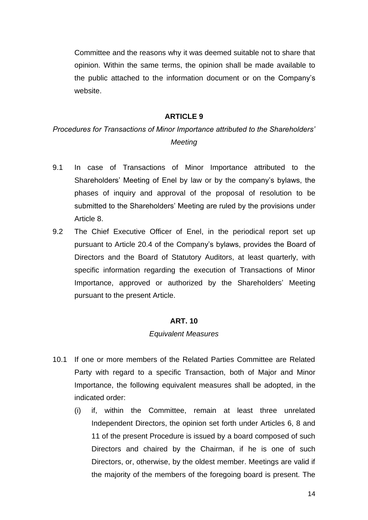Committee and the reasons why it was deemed suitable not to share that opinion. Within the same terms, the opinion shall be made available to the public attached to the information document or on the Company's website.

#### **ARTICLE 9**

# *Procedures for Transactions of Minor Importance attributed to the Shareholders' Meeting*

- 9.1 In case of Transactions of Minor Importance attributed to the Shareholders' Meeting of Enel by law or by the company's bylaws, the phases of inquiry and approval of the proposal of resolution to be submitted to the Shareholders' Meeting are ruled by the provisions under Article 8.
- 9.2 The Chief Executive Officer of Enel, in the periodical report set up pursuant to Article 20.4 of the Company's bylaws, provides the Board of Directors and the Board of Statutory Auditors, at least quarterly, with specific information regarding the execution of Transactions of Minor Importance, approved or authorized by the Shareholders' Meeting pursuant to the present Article.

#### **ART. 10**

#### *Equivalent Measures*

- 10.1 If one or more members of the Related Parties Committee are Related Party with regard to a specific Transaction, both of Major and Minor Importance, the following equivalent measures shall be adopted, in the indicated order:
	- (i) if, within the Committee, remain at least three unrelated Independent Directors, the opinion set forth under Articles 6, 8 and 11 of the present Procedure is issued by a board composed of such Directors and chaired by the Chairman, if he is one of such Directors, or, otherwise, by the oldest member. Meetings are valid if the majority of the members of the foregoing board is present. The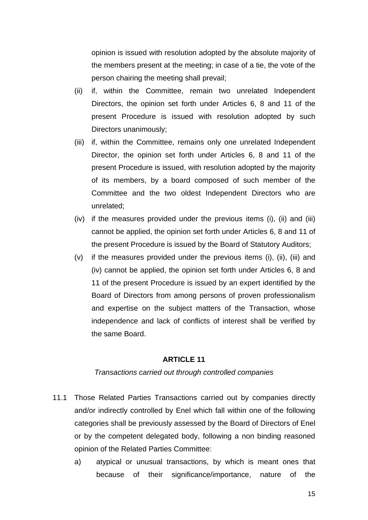opinion is issued with resolution adopted by the absolute majority of the members present at the meeting; in case of a tie, the vote of the person chairing the meeting shall prevail;

- (ii) if, within the Committee, remain two unrelated Independent Directors, the opinion set forth under Articles 6, 8 and 11 of the present Procedure is issued with resolution adopted by such Directors unanimously;
- (iii) if, within the Committee, remains only one unrelated Independent Director, the opinion set forth under Articles 6, 8 and 11 of the present Procedure is issued, with resolution adopted by the majority of its members, by a board composed of such member of the Committee and the two oldest Independent Directors who are unrelated;
- (iv) if the measures provided under the previous items (i), (ii) and (iii) cannot be applied, the opinion set forth under Articles 6, 8 and 11 of the present Procedure is issued by the Board of Statutory Auditors;
- (v) if the measures provided under the previous items (i), (ii), (iii) and (iv) cannot be applied, the opinion set forth under Articles 6, 8 and 11 of the present Procedure is issued by an expert identified by the Board of Directors from among persons of proven professionalism and expertise on the subject matters of the Transaction, whose independence and lack of conflicts of interest shall be verified by the same Board.

#### **ARTICLE 11**

#### *Transactions carried out through controlled companies*

- 11.1 Those Related Parties Transactions carried out by companies directly and/or indirectly controlled by Enel which fall within one of the following categories shall be previously assessed by the Board of Directors of Enel or by the competent delegated body, following a non binding reasoned opinion of the Related Parties Committee:
	- a) atypical or unusual transactions, by which is meant ones that because of their significance/importance, nature of the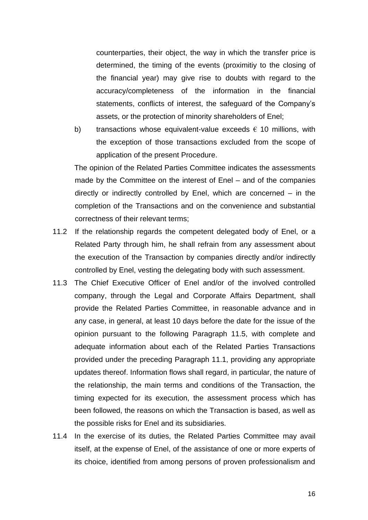counterparties, their object, the way in which the transfer price is determined, the timing of the events (proximitiy to the closing of the financial year) may give rise to doubts with regard to the accuracy/completeness of the information in the financial statements, conflicts of interest, the safeguard of the Company's assets, or the protection of minority shareholders of Enel;

b) transactions whose equivalent-value exceeds  $\epsilon$  10 millions, with the exception of those transactions excluded from the scope of application of the present Procedure.

The opinion of the Related Parties Committee indicates the assessments made by the Committee on the interest of Enel – and of the companies directly or indirectly controlled by Enel, which are concerned – in the completion of the Transactions and on the convenience and substantial correctness of their relevant terms;

- 11.2 If the relationship regards the competent delegated body of Enel, or a Related Party through him, he shall refrain from any assessment about the execution of the Transaction by companies directly and/or indirectly controlled by Enel, vesting the delegating body with such assessment.
- 11.3 The Chief Executive Officer of Enel and/or of the involved controlled company, through the Legal and Corporate Affairs Department, shall provide the Related Parties Committee, in reasonable advance and in any case, in general, at least 10 days before the date for the issue of the opinion pursuant to the following Paragraph 11.5, with complete and adequate information about each of the Related Parties Transactions provided under the preceding Paragraph 11.1, providing any appropriate updates thereof. Information flows shall regard, in particular, the nature of the relationship, the main terms and conditions of the Transaction, the timing expected for its execution, the assessment process which has been followed, the reasons on which the Transaction is based, as well as the possible risks for Enel and its subsidiaries.
- 11.4 In the exercise of its duties, the Related Parties Committee may avail itself, at the expense of Enel, of the assistance of one or more experts of its choice, identified from among persons of proven professionalism and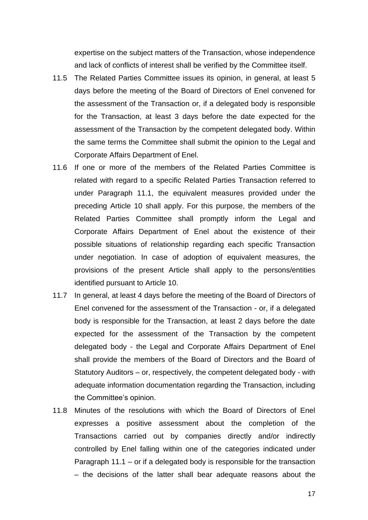expertise on the subject matters of the Transaction, whose independence and lack of conflicts of interest shall be verified by the Committee itself.

- 11.5 The Related Parties Committee issues its opinion, in general, at least 5 days before the meeting of the Board of Directors of Enel convened for the assessment of the Transaction or, if a delegated body is responsible for the Transaction, at least 3 days before the date expected for the assessment of the Transaction by the competent delegated body. Within the same terms the Committee shall submit the opinion to the Legal and Corporate Affairs Department of Enel.
- 11.6 If one or more of the members of the Related Parties Committee is related with regard to a specific Related Parties Transaction referred to under Paragraph 11.1, the equivalent measures provided under the preceding Article 10 shall apply. For this purpose, the members of the Related Parties Committee shall promptly inform the Legal and Corporate Affairs Department of Enel about the existence of their possible situations of relationship regarding each specific Transaction under negotiation. In case of adoption of equivalent measures, the provisions of the present Article shall apply to the persons/entities identified pursuant to Article 10.
- 11.7 In general, at least 4 days before the meeting of the Board of Directors of Enel convened for the assessment of the Transaction - or, if a delegated body is responsible for the Transaction, at least 2 days before the date expected for the assessment of the Transaction by the competent delegated body - the Legal and Corporate Affairs Department of Enel shall provide the members of the Board of Directors and the Board of Statutory Auditors – or, respectively, the competent delegated body - with adequate information documentation regarding the Transaction, including the Committee's opinion.
- 11.8 Minutes of the resolutions with which the Board of Directors of Enel expresses a positive assessment about the completion of the Transactions carried out by companies directly and/or indirectly controlled by Enel falling within one of the categories indicated under Paragraph 11.1 – or if a delegated body is responsible for the transaction – the decisions of the latter shall bear adequate reasons about the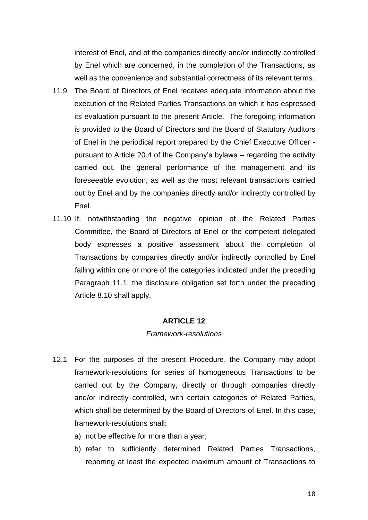interest of Enel, and of the companies directly and/or indirectly controlled by Enel which are concerned, in the completion of the Transactions, as well as the convenience and substantial correctness of its relevant terms.

- 11.9 The Board of Directors of Enel receives adequate information about the execution of the Related Parties Transactions on which it has espressed its evaluation pursuant to the present Article. The foregoing information is provided to the Board of Directors and the Board of Statutory Auditors of Enel in the periodical report prepared by the Chief Executive Officer pursuant to Article 20.4 of the Company's bylaws – regarding the activity carried out, the general performance of the management and its foreseeable evolution, as well as the most relevant transactions carried out by Enel and by the companies directly and/or indirectly controlled by Enel.
- 11.10 If, notwithstanding the negative opinion of the Related Parties Committee, the Board of Directors of Enel or the competent delegated body expresses a positive assessment about the completion of Transactions by companies directly and/or indirectly controlled by Enel falling within one or more of the categories indicated under the preceding Paragraph 11.1, the disclosure obligation set forth under the preceding Article 8.10 shall apply.

#### **ARTICLE 12**

#### *Framework-resolutions*

- 12.1 For the purposes of the present Procedure, the Company may adopt framework-resolutions for series of homogeneous Transactions to be carried out by the Company, directly or through companies directly and/or indirectly controlled, with certain categories of Related Parties, which shall be determined by the Board of Directors of Enel. In this case, framework-resolutions shall:
	- a) not be effective for more than a year;
	- b) refer to sufficiently determined Related Parties Transactions, reporting at least the expected maximum amount of Transactions to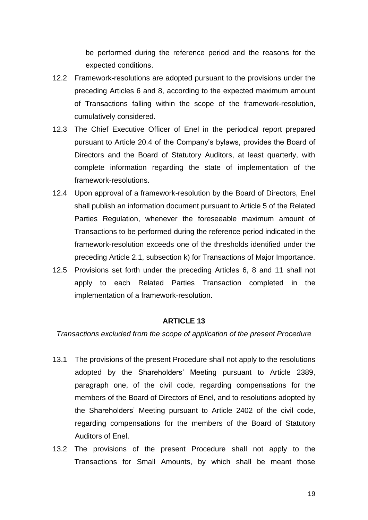be performed during the reference period and the reasons for the expected conditions.

- 12.2 Framework-resolutions are adopted pursuant to the provisions under the preceding Articles 6 and 8, according to the expected maximum amount of Transactions falling within the scope of the framework-resolution, cumulatively considered.
- 12.3 The Chief Executive Officer of Enel in the periodical report prepared pursuant to Article 20.4 of the Company's bylaws, provides the Board of Directors and the Board of Statutory Auditors, at least quarterly, with complete information regarding the state of implementation of the framework-resolutions.
- 12.4 Upon approval of a framework-resolution by the Board of Directors, Enel shall publish an information document pursuant to Article 5 of the Related Parties Regulation, whenever the foreseeable maximum amount of Transactions to be performed during the reference period indicated in the framework-resolution exceeds one of the thresholds identified under the preceding Article 2.1, subsection k) for Transactions of Major Importance.
- 12.5 Provisions set forth under the preceding Articles 6, 8 and 11 shall not apply to each Related Parties Transaction completed in the implementation of a framework-resolution.

#### **ARTICLE 13**

*Transactions excluded from the scope of application of the present Procedure*

- 13.1 The provisions of the present Procedure shall not apply to the resolutions adopted by the Shareholders' Meeting pursuant to Article 2389, paragraph one, of the civil code, regarding compensations for the members of the Board of Directors of Enel, and to resolutions adopted by the Shareholders' Meeting pursuant to Article 2402 of the civil code, regarding compensations for the members of the Board of Statutory Auditors of Enel.
- 13.2 The provisions of the present Procedure shall not apply to the Transactions for Small Amounts, by which shall be meant those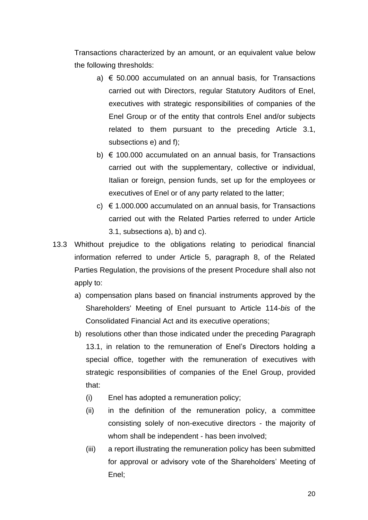Transactions characterized by an amount, or an equivalent value below the following thresholds:

- a)  $\epsilon$  50,000 accumulated on an annual basis, for Transactions carried out with Directors, regular Statutory Auditors of Enel, executives with strategic responsibilities of companies of the Enel Group or of the entity that controls Enel and/or subjects related to them pursuant to the preceding Article 3.1, subsections e) and f);
- b)  $\epsilon$  100.000 accumulated on an annual basis, for Transactions carried out with the supplementary, collective or individual, Italian or foreign, pension funds, set up for the employees or executives of Enel or of any party related to the latter;
- c)  $\epsilon$  1.000.000 accumulated on an annual basis, for Transactions carried out with the Related Parties referred to under Article 3.1, subsections a), b) and c).
- 13.3 Whithout prejudice to the obligations relating to periodical financial information referred to under Article 5, paragraph 8, of the Related Parties Regulation, the provisions of the present Procedure shall also not apply to:
	- a) compensation plans based on financial instruments approved by the Shareholders' Meeting of Enel pursuant to Article 114-*bis* of the Consolidated Financial Act and its executive operations;
	- b) resolutions other than those indicated under the preceding Paragraph 13.1, in relation to the remuneration of Enel's Directors holding a special office, together with the remuneration of executives with strategic responsibilities of companies of the Enel Group, provided that:
		- (i) Enel has adopted a remuneration policy;
		- (ii) in the definition of the remuneration policy, a committee consisting solely of non-executive directors - the majority of whom shall be independent - has been involved;
		- (iii) a report illustrating the remuneration policy has been submitted for approval or advisory vote of the Shareholders' Meeting of Enel;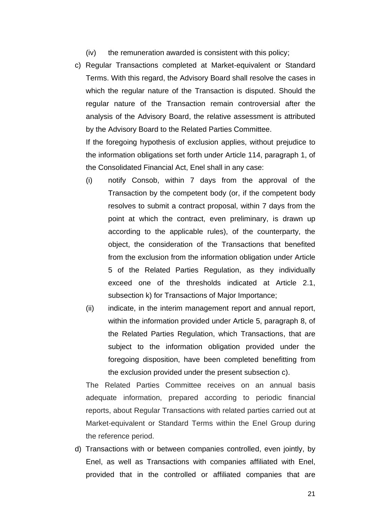- (iv) the remuneration awarded is consistent with this policy;
- c) Regular Transactions completed at Market-equivalent or Standard Terms. With this regard, the Advisory Board shall resolve the cases in which the regular nature of the Transaction is disputed. Should the regular nature of the Transaction remain controversial after the analysis of the Advisory Board, the relative assessment is attributed by the Advisory Board to the Related Parties Committee.

If the foregoing hypothesis of exclusion applies, without prejudice to the information obligations set forth under Article 114, paragraph 1, of the Consolidated Financial Act, Enel shall in any case:

- (i) notify Consob, within 7 days from the approval of the Transaction by the competent body (or, if the competent body resolves to submit a contract proposal, within 7 days from the point at which the contract, even preliminary, is drawn up according to the applicable rules), of the counterparty, the object, the consideration of the Transactions that benefited from the exclusion from the information obligation under Article 5 of the Related Parties Regulation, as they individually exceed one of the thresholds indicated at Article 2.1, subsection k) for Transactions of Major Importance;
- (ii) indicate, in the interim management report and annual report, within the information provided under Article 5, paragraph 8, of the Related Parties Regulation, which Transactions, that are subject to the information obligation provided under the foregoing disposition, have been completed benefitting from the exclusion provided under the present subsection c).

The Related Parties Committee receives on an annual basis adequate information, prepared according to periodic financial reports, about Regular Transactions with related parties carried out at Market-equivalent or Standard Terms within the Enel Group during the reference period.

d) Transactions with or between companies controlled, even jointly, by Enel, as well as Transactions with companies affiliated with Enel, provided that in the controlled or affiliated companies that are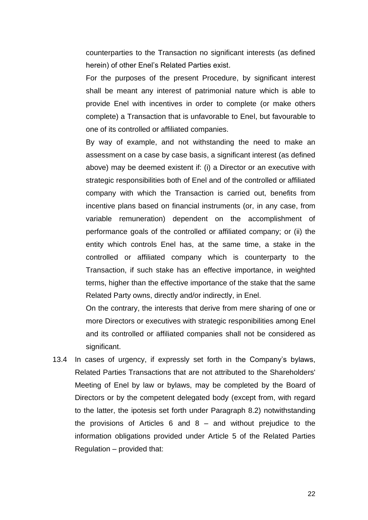counterparties to the Transaction no significant interests (as defined herein) of other Enel's Related Parties exist.

For the purposes of the present Procedure, by significant interest shall be meant any interest of patrimonial nature which is able to provide Enel with incentives in order to complete (or make others complete) a Transaction that is unfavorable to Enel, but favourable to one of its controlled or affiliated companies.

By way of example, and not withstanding the need to make an assessment on a case by case basis, a significant interest (as defined above) may be deemed existent if: (i) a Director or an executive with strategic responsibilities both of Enel and of the controlled or affiliated company with which the Transaction is carried out, benefits from incentive plans based on financial instruments (or, in any case, from variable remuneration) dependent on the accomplishment of performance goals of the controlled or affiliated company; or (ii) the entity which controls Enel has, at the same time, a stake in the controlled or affiliated company which is counterparty to the Transaction, if such stake has an effective importance, in weighted terms, higher than the effective importance of the stake that the same Related Party owns, directly and/or indirectly, in Enel.

On the contrary, the interests that derive from mere sharing of one or more Directors or executives with strategic responibilities among Enel and its controlled or affiliated companies shall not be considered as significant.

13.4 In cases of urgency, if expressly set forth in the Company's bylaws, Related Parties Transactions that are not attributed to the Shareholders' Meeting of Enel by law or bylaws, may be completed by the Board of Directors or by the competent delegated body (except from, with regard to the latter, the ipotesis set forth under Paragraph 8.2) notwithstanding the provisions of Articles  $6$  and  $8$  – and without prejudice to the information obligations provided under Article 5 of the Related Parties Regulation – provided that: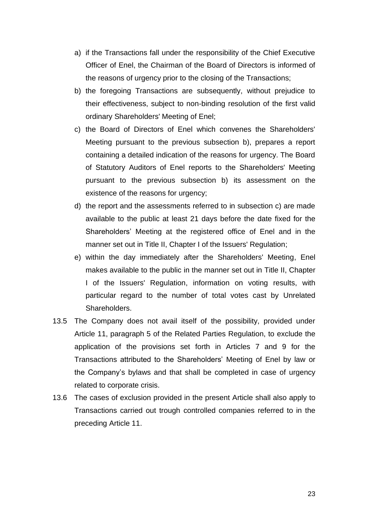- a) if the Transactions fall under the responsibility of the Chief Executive Officer of Enel, the Chairman of the Board of Directors is informed of the reasons of urgency prior to the closing of the Transactions;
- b) the foregoing Transactions are subsequently, without prejudice to their effectiveness, subject to non-binding resolution of the first valid ordinary Shareholders' Meeting of Enel;
- c) the Board of Directors of Enel which convenes the Shareholders' Meeting pursuant to the previous subsection b), prepares a report containing a detailed indication of the reasons for urgency. The Board of Statutory Auditors of Enel reports to the Shareholders' Meeting pursuant to the previous subsection b) its assessment on the existence of the reasons for urgency;
- d) the report and the assessments referred to in subsection c) are made available to the public at least 21 days before the date fixed for the Shareholders' Meeting at the registered office of Enel and in the manner set out in Title II, Chapter I of the Issuers' Regulation;
- e) within the day immediately after the Shareholders' Meeting, Enel makes available to the public in the manner set out in Title II, Chapter I of the Issuers' Regulation, information on voting results, with particular regard to the number of total votes cast by Unrelated Shareholders.
- 13.5 The Company does not avail itself of the possibility, provided under Article 11, paragraph 5 of the Related Parties Regulation, to exclude the application of the provisions set forth in Articles 7 and 9 for the Transactions attributed to the Shareholders' Meeting of Enel by law or the Company's bylaws and that shall be completed in case of urgency related to corporate crisis.
- 13.6 The cases of exclusion provided in the present Article shall also apply to Transactions carried out trough controlled companies referred to in the preceding Article 11.